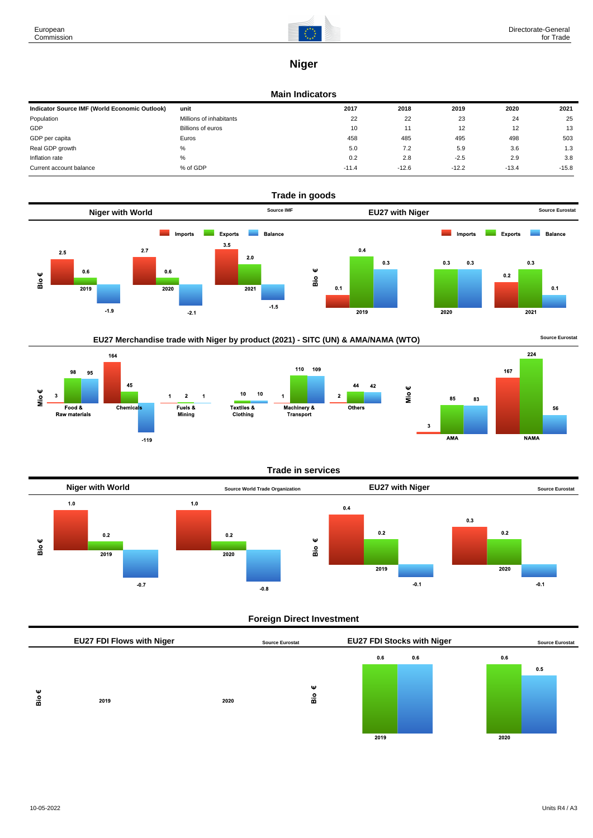

224

**NAMA** 

56

167

 $\overline{3}$ 

AMA

# **Niger**

### **Main Indicators**

| Indicator Source IMF (World Economic Outlook) | unit                     | 2017    | 2018    | 2019    | 2020    | 2021    |
|-----------------------------------------------|--------------------------|---------|---------|---------|---------|---------|
| Population                                    | Millions of inhabitants  | 22      | 22      | 23      | 24      | 25      |
| GDP                                           | <b>Billions of euros</b> | 10      | 11      | 12      | 12      | 13      |
| GDP per capita                                | Euros                    | 458     | 485     | 495     | 498     | 503     |
| Real GDP growth                               | $\%$                     | 5.0     | 7.2     | 5.9     | 3.6     | 1.3     |
| Inflation rate                                | %                        | 0.2     | 2.8     | $-2.5$  | 2.9     | 3.8     |
| Current account balance                       | % of GDP                 | $-11.4$ | $-12.6$ | $-12.2$ | $-13.4$ | $-15.8$ |





 $-119$ 





# **Foreign Direct Investment**

|   | EU27 FDI Flows with Niger |      | <b>Source Eurostat</b> |      | <b>EU27 FDI Stocks with Niger</b> |      | <b>Source Eurostat</b> |
|---|---------------------------|------|------------------------|------|-----------------------------------|------|------------------------|
|   |                           |      |                        | 0.6  | 0.6                               | 0.6  |                        |
|   |                           |      |                        |      |                                   |      | 0.5                    |
| Ψ |                           |      | Ψ                      |      |                                   |      |                        |
| å | 2019                      | 2020 | Bio                    |      |                                   |      |                        |
|   |                           |      |                        |      |                                   |      |                        |
|   |                           |      |                        |      |                                   |      |                        |
|   |                           |      |                        | 2019 |                                   | 2020 |                        |